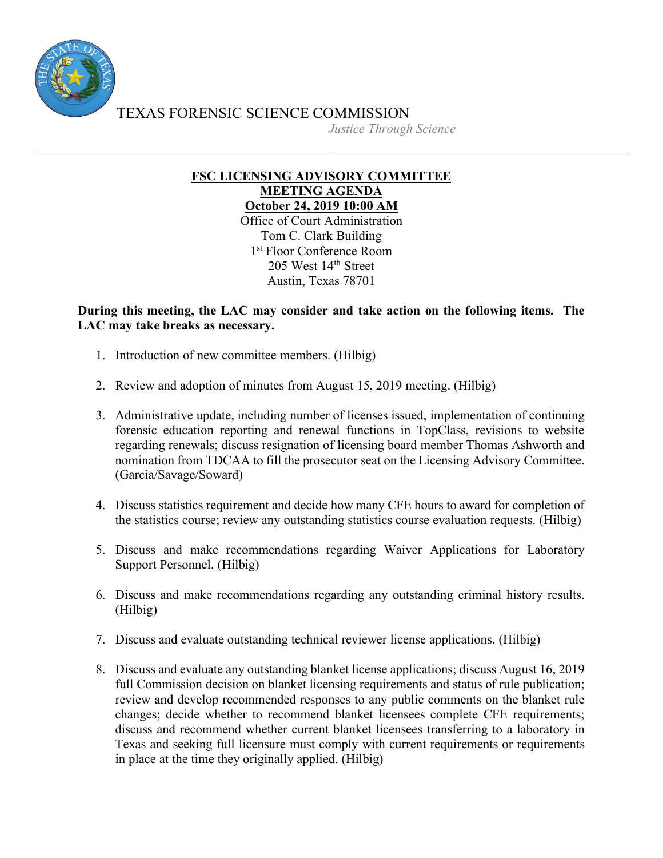

*Justice Through Science*

## **FSC LICENSING ADVISORY COMMITTEE MEETING AGENDA October 24, 2019 10:00 AM**

Office of Court Administration Tom C. Clark Building 1<sup>st</sup> Floor Conference Room 205 West 14th Street Austin, Texas 78701

**During this meeting, the LAC may consider and take action on the following items. The LAC may take breaks as necessary.**

- 1. Introduction of new committee members. (Hilbig)
- 2. Review and adoption of minutes from August 15, 2019 meeting. (Hilbig)
- 3. Administrative update, including number of licenses issued, implementation of continuing forensic education reporting and renewal functions in TopClass, revisions to website regarding renewals; discuss resignation of licensing board member Thomas Ashworth and nomination from TDCAA to fill the prosecutor seat on the Licensing Advisory Committee. (Garcia/Savage/Soward)
- 4. Discuss statistics requirement and decide how many CFE hours to award for completion of the statistics course; review any outstanding statistics course evaluation requests. (Hilbig)
- 5. Discuss and make recommendations regarding Waiver Applications for Laboratory Support Personnel. (Hilbig)
- 6. Discuss and make recommendations regarding any outstanding criminal history results. (Hilbig)
- 7. Discuss and evaluate outstanding technical reviewer license applications. (Hilbig)
- 8. Discuss and evaluate any outstanding blanket license applications; discuss August 16, 2019 full Commission decision on blanket licensing requirements and status of rule publication; review and develop recommended responses to any public comments on the blanket rule changes; decide whether to recommend blanket licensees complete CFE requirements; discuss and recommend whether current blanket licensees transferring to a laboratory in Texas and seeking full licensure must comply with current requirements or requirements in place at the time they originally applied. (Hilbig)